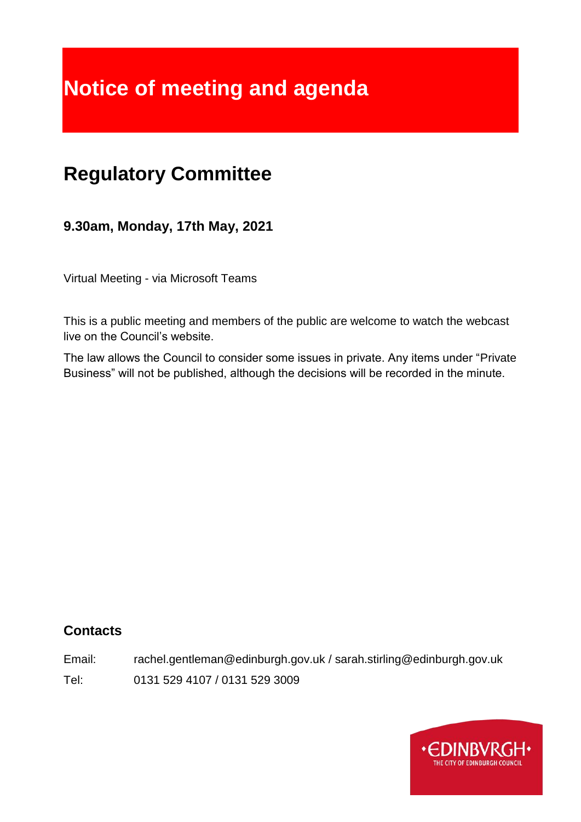# **Notice of meeting and agenda**

## **Regulatory Committee**

**9.30am, Monday, 17th May, 2021**

Virtual Meeting - via Microsoft Teams

This is a public meeting and members of the public are welcome to watch the webcast live on the Council's website.

The law allows the Council to consider some issues in private. Any items under "Private Business" will not be published, although the decisions will be recorded in the minute.

## **Contacts**

Email: rachel.gentleman@edinburgh.gov.uk / sarah.stirling@edinburgh.gov.uk

Tel: 0131 529 4107 / 0131 529 3009

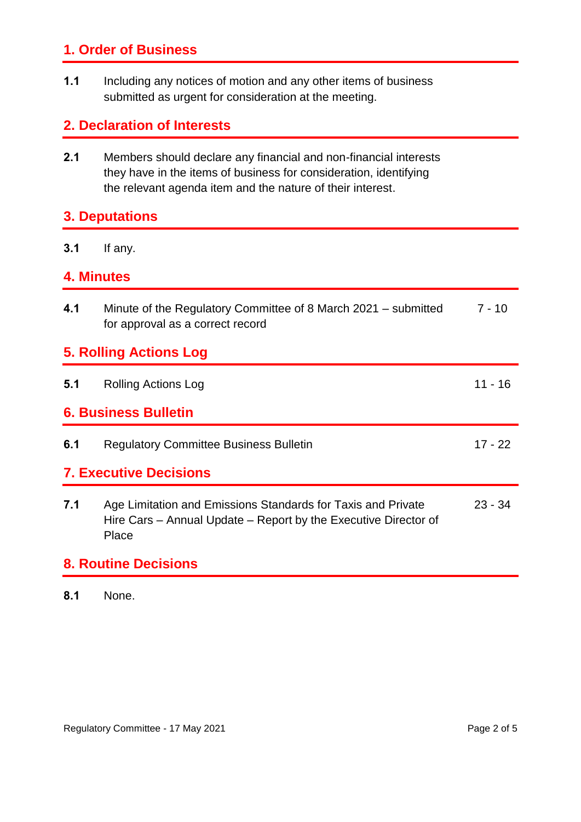## **1. Order of Business**

**1.1** Including any notices of motion and any other items of business submitted as urgent for consideration at the meeting.

## **2. Declaration of Interests**

**2.1** Members should declare any financial and non-financial interests they have in the items of business for consideration, identifying the relevant agenda item and the nature of their interest.

## **3. Deputations**

**3.1** If any.

#### **4. Minutes**

| 4.1                           | Minute of the Regulatory Committee of 8 March 2021 – submitted<br>for approval as a correct record                                       | $7 - 10$  |
|-------------------------------|------------------------------------------------------------------------------------------------------------------------------------------|-----------|
| <b>5. Rolling Actions Log</b> |                                                                                                                                          |           |
| 5.1                           | <b>Rolling Actions Log</b>                                                                                                               | $11 - 16$ |
| <b>6. Business Bulletin</b>   |                                                                                                                                          |           |
| 6.1                           | <b>Regulatory Committee Business Bulletin</b>                                                                                            | $17 - 22$ |
| <b>7. Executive Decisions</b> |                                                                                                                                          |           |
| 7.1                           | Age Limitation and Emissions Standards for Taxis and Private<br>Hire Cars – Annual Update – Report by the Executive Director of<br>Place | $23 - 34$ |
| <b>0</b> Dauting Desisions    |                                                                                                                                          |           |

#### **8. Routine Decisions**

**8.1** None.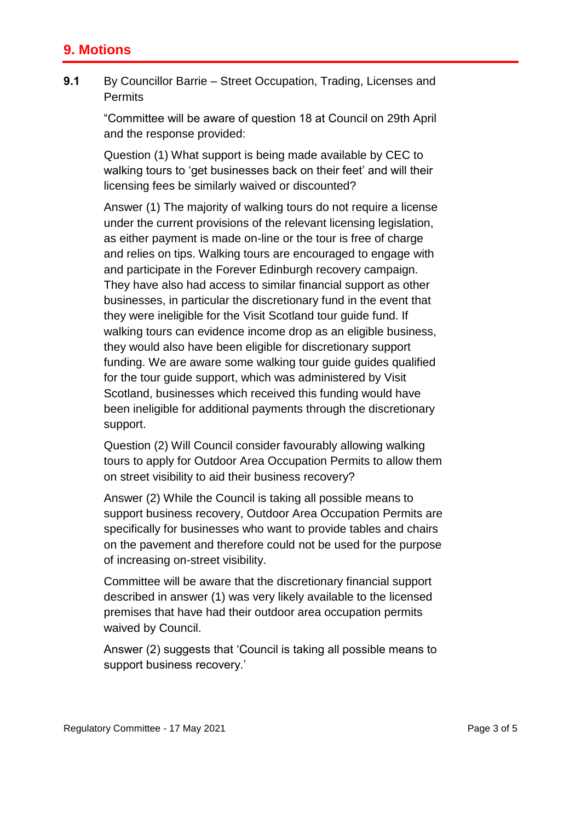## **9. Motions**

**9.1** By Councillor Barrie – Street Occupation, Trading, Licenses and **Permits** 

> "Committee will be aware of question 18 at Council on 29th April and the response provided:

Question (1) What support is being made available by CEC to walking tours to 'get businesses back on their feet' and will their licensing fees be similarly waived or discounted?

Answer (1) The majority of walking tours do not require a license under the current provisions of the relevant licensing legislation, as either payment is made on-line or the tour is free of charge and relies on tips. Walking tours are encouraged to engage with and participate in the Forever Edinburgh recovery campaign. They have also had access to similar financial support as other businesses, in particular the discretionary fund in the event that they were ineligible for the Visit Scotland tour guide fund. If walking tours can evidence income drop as an eligible business, they would also have been eligible for discretionary support funding. We are aware some walking tour guide guides qualified for the tour guide support, which was administered by Visit Scotland, businesses which received this funding would have been ineligible for additional payments through the discretionary support.

Question (2) Will Council consider favourably allowing walking tours to apply for Outdoor Area Occupation Permits to allow them on street visibility to aid their business recovery?

Answer (2) While the Council is taking all possible means to support business recovery, Outdoor Area Occupation Permits are specifically for businesses who want to provide tables and chairs on the pavement and therefore could not be used for the purpose of increasing on-street visibility.

Committee will be aware that the discretionary financial support described in answer (1) was very likely available to the licensed premises that have had their outdoor area occupation permits waived by Council.

Answer (2) suggests that 'Council is taking all possible means to support business recovery.'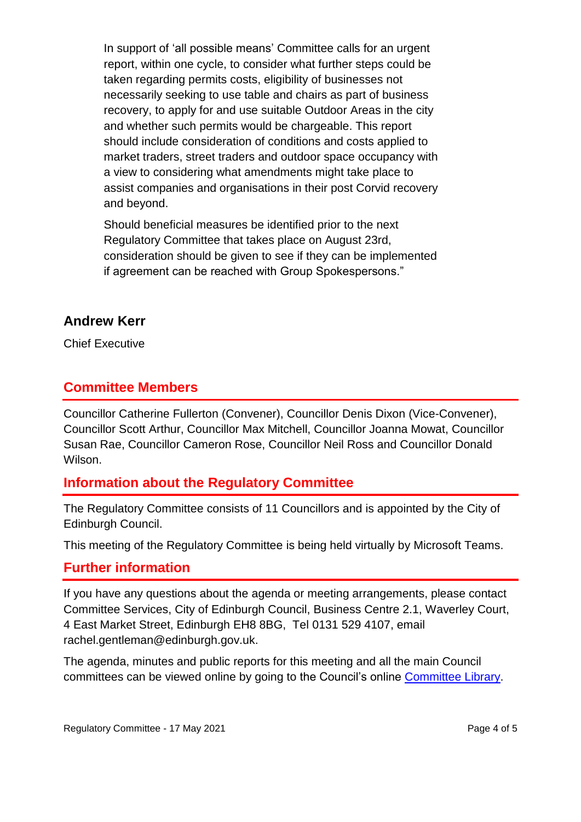In support of 'all possible means' Committee calls for an urgent report, within one cycle, to consider what further steps could be taken regarding permits costs, eligibility of businesses not necessarily seeking to use table and chairs as part of business recovery, to apply for and use suitable Outdoor Areas in the city and whether such permits would be chargeable. This report should include consideration of conditions and costs applied to market traders, street traders and outdoor space occupancy with a view to considering what amendments might take place to assist companies and organisations in their post Corvid recovery and beyond.

Should beneficial measures be identified prior to the next Regulatory Committee that takes place on August 23rd, consideration should be given to see if they can be implemented if agreement can be reached with Group Spokespersons."

## **Andrew Kerr**

Chief Executive

## **Committee Members**

Councillor Catherine Fullerton (Convener), Councillor Denis Dixon (Vice-Convener), Councillor Scott Arthur, Councillor Max Mitchell, Councillor Joanna Mowat, Councillor Susan Rae, Councillor Cameron Rose, Councillor Neil Ross and Councillor Donald Wilson.

## **Information about the Regulatory Committee**

The Regulatory Committee consists of 11 Councillors and is appointed by the City of Edinburgh Council.

This meeting of the Regulatory Committee is being held virtually by Microsoft Teams.

#### **Further information**

If you have any questions about the agenda or meeting arrangements, please contact Committee Services, City of Edinburgh Council, Business Centre 2.1, Waverley Court, 4 East Market Street, Edinburgh EH8 8BG, Tel 0131 529 4107, email rachel.gentleman@edinburgh.gov.uk.

The agenda, minutes and public reports for this meeting and all the main Council committees can be viewed online by going to the Council's online [Committee Library.](https://democracy.edinburgh.gov.uk/ieDocHome.aspx?bcr=1)